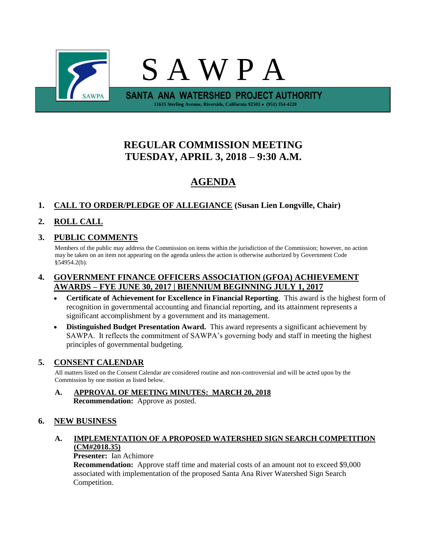

# **REGULAR COMMISSION MEETING TUESDAY, APRIL 3, 2018 – 9:30 A.M.**

# **AGENDA**

# **1. CALL TO ORDER/PLEDGE OF ALLEGIANCE (Susan Lien Longville, Chair)**

# **2. ROLL CALL**

### **3. PUBLIC COMMENTS**

Members of the public may address the Commission on items within the jurisdiction of the Commission; however, no action may be taken on an item not appearing on the agenda unless the action is otherwise authorized by Government Code §54954.2(b).

#### **4. GOVERNMENT FINANCE OFFICERS ASSOCIATION (GFOA) ACHIEVEMENT AWARDS – FYE JUNE 30, 2017 | BIENNIUM BEGINNING JULY 1, 2017**

- **Certificate of Achievement for Excellence in Financial Reporting**. This award is the highest form of recognition in governmental accounting and financial reporting, and its attainment represents a significant accomplishment by a government and its management.
- **Distinguished Budget Presentation Award.** This award represents a significant achievement by SAWPA. It reflects the commitment of SAWPA's governing body and staff in meeting the highest principles of governmental budgeting.

### **5. CONSENT CALENDAR**

All matters listed on the Consent Calendar are considered routine and non-controversial and will be acted upon by the Commission by one motion as listed below.

**A. APPROVAL OF MEETING MINUTES: MARCH 20, 2018 Recommendation:** Approve as posted.

### **6. NEW BUSINESS**

# **A. IMPLEMENTATION OF A PROPOSED WATERSHED SIGN SEARCH COMPETITION (CM#2018.35)**

### **Presenter:** Ian Achimore

**Recommendation:** Approve staff time and material costs of an amount not to exceed \$9,000 associated with implementation of the proposed Santa Ana River Watershed Sign Search Competition.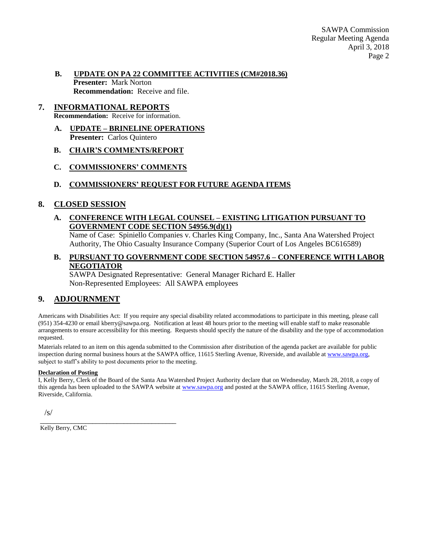#### **B. UPDATE ON PA 22 COMMITTEE ACTIVITIES (CM#2018.36) Presenter:** Mark Norton **Recommendation:** Receive and file.

# **7. INFORMATIONAL REPORTS**

**Recommendation:** Receive for information.

- **A. UPDATE – BRINELINE OPERATIONS Presenter:** Carlos Quintero
- **B. CHAIR'S COMMENTS/REPORT**
- **C. COMMISSIONERS' COMMENTS**
- **D. COMMISSIONERS' REQUEST FOR FUTURE AGENDA ITEMS**

#### **8. CLOSED SESSION**

#### **A. CONFERENCE WITH LEGAL COUNSEL – EXISTING LITIGATION PURSUANT TO GOVERNMENT CODE SECTION 54956.9(d)(1)**

Name of Case: Spiniello Companies v. Charles King Company, Inc., Santa Ana Watershed Project Authority, The Ohio Casualty Insurance Company (Superior Court of Los Angeles BC616589)

#### **B. PURSUANT TO GOVERNMENT CODE SECTION 54957.6 – CONFERENCE WITH LABOR NEGOTIATOR**

SAWPA Designated Representative: General Manager Richard E. Haller Non-Represented Employees: All SAWPA employees

### **9. ADJOURNMENT**

Americans with Disabilities Act: If you require any special disability related accommodations to participate in this meeting, please call (951) 354-4230 or email kberry@sawpa.org. Notification at least 48 hours prior to the meeting will enable staff to make reasonable arrangements to ensure accessibility for this meeting. Requests should specify the nature of the disability and the type of accommodation requested.

Materials related to an item on this agenda submitted to the Commission after distribution of the agenda packet are available for public inspection during normal business hours at the SAWPA office, 11615 Sterling Avenue, Riverside, and available a[t www.sawpa.org,](http://www.sawpa.org/) subject to staff's ability to post documents prior to the meeting.

#### **Declaration of Posting**

I, Kelly Berry, Clerk of the Board of the Santa Ana Watershed Project Authority declare that on Wednesday, March 28, 2018, a copy of this agenda has been uploaded to the SAWPA website at [www.sawpa.org](http://www.sawpa.org/) and posted at the SAWPA office, 11615 Sterling Avenue, Riverside, California.

/s/

Kelly Berry, CMC

\_\_\_\_\_\_\_\_\_\_\_\_\_\_\_\_\_\_\_\_\_\_\_\_\_\_\_\_\_\_\_\_\_\_\_\_\_\_\_